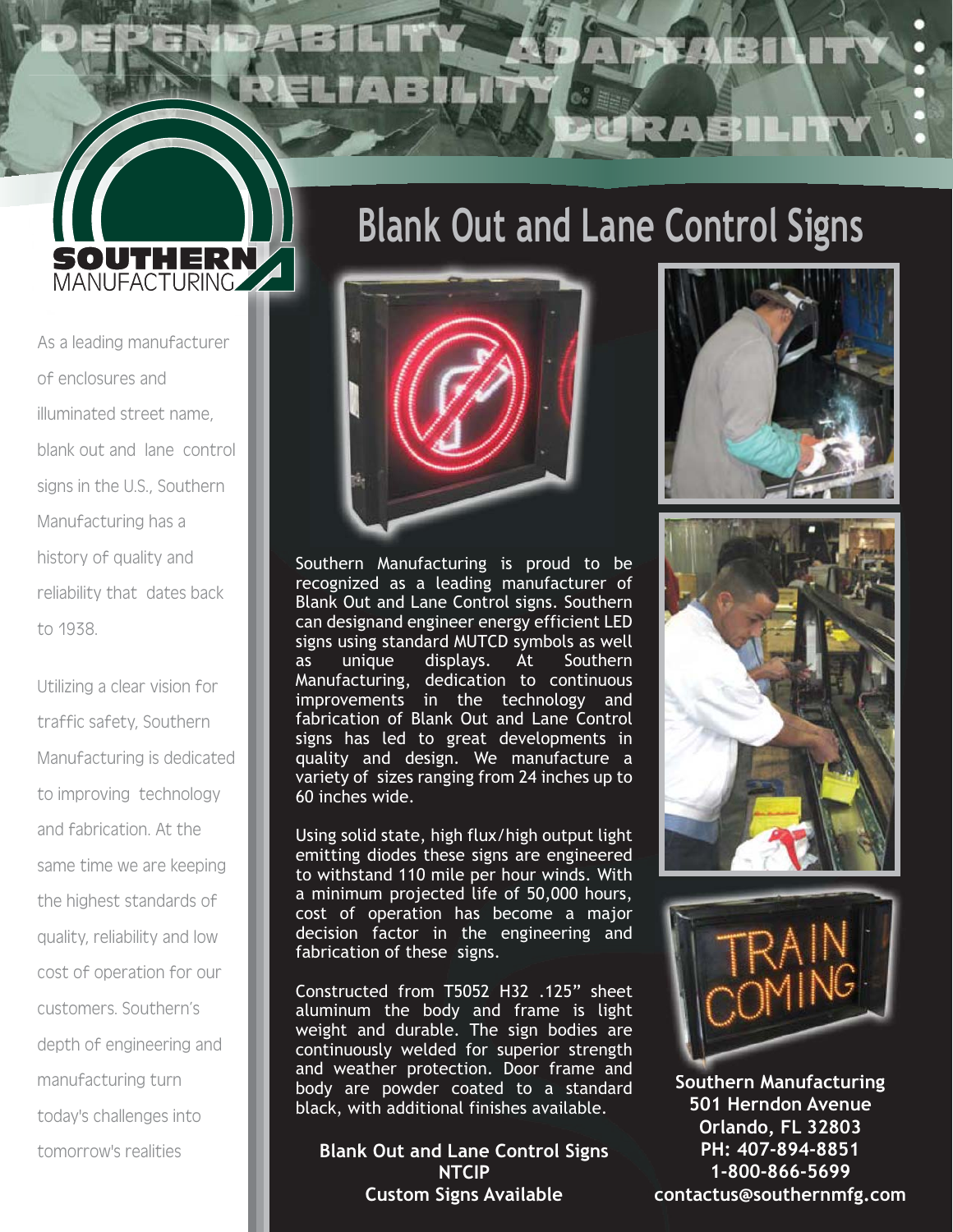## **Blank Out and Lane Control Signs**

As a leading manufacturer of enclosures and illuminated street name, blank out and lane control signs in the U.S., Southern Manufacturing has a history of quality and reliability that dates back to 1938.

**SOUTHERN** 

Utilizing a clear vision for traffic safety, Southern Manufacturing is dedicated to improving technology and fabrication. At the same time we are keeping the highest standards of quality, reliability and low cost of operation for our customers. Southern's depth of engineering and manufacturing turn today's challenges into tomorrow's realities



Using solid state, high flux/high output light emitting diodes these signs are engineered to withstand 110 mile per hour winds. With a minimum projected life of 50,000 hours, cost of operation has become a major decision factor in the engineering and fabrication of these signs.

Constructed from T5052 H32 .125" sheet aluminum the body and frame is light weight and durable. The sign bodies are continuously welded for superior strength and weather protection. Door frame and body are powder coated to a standard black, with additional finishes available.

**Blank Out and Lane Control Signs NTCIP Custom Signs Available**







**Southern Manufacturing S th M f t i 501 Herndon Avenue Orlando, FL 32803 PH: 407-894-8851 1-800-866-5699 contactus@southernmfg.com**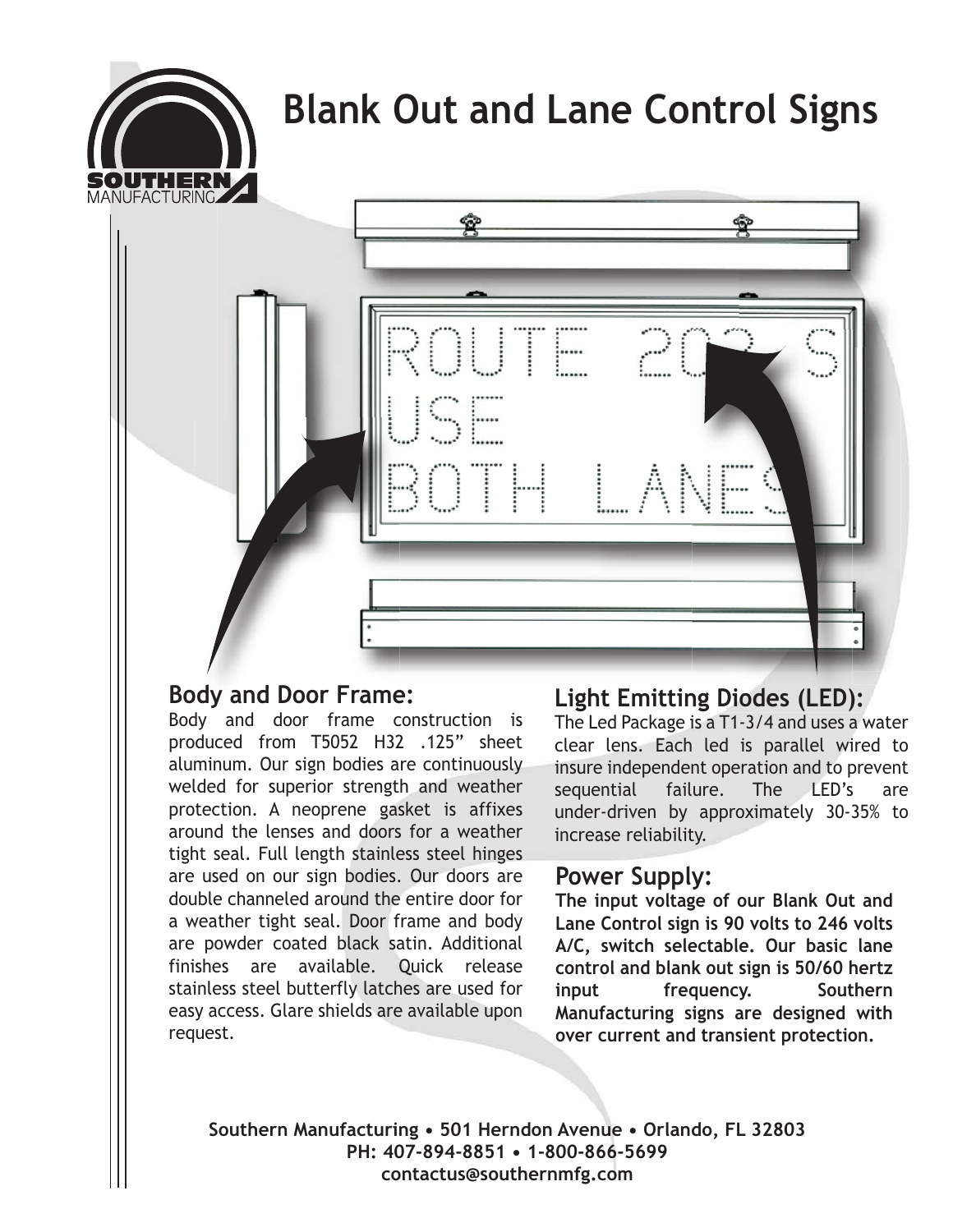## **Blank Out and Lane Control Signs**





### **Body and Door Frame:**

Body and door frame construction is produced from T5052 H32 .125" sheet aluminum. Our sign bodies are continuously welded for superior strength and weather protection. A neoprene gasket is affixes around the lenses and doors for a weather tight seal. Full length stainless steel hinges are used on our sign bodies. Our doors are double channeled around the entire door for a weather tight seal. Door frame and body are powder coated black satin. Additional finishes are available. Quick release stainless steel butterfly latches are used for easy access. Glare shields are available upon request.

### **ody and Door Frame:** Light Emitting Diodes (LED):

The Led Package is a T1-3/4 and uses a water clear lens. Each led is parallel wired to insure independent operation and to prevent sequential failure. The LED's are under-driven by approximately 30-35% to increase reliability.

### **Power Supply:**

**The input voltage of our Blank Out and Lane Control sign is 90 volts to 246 volts A/C, switch selectable. Our basic lane control and blank out sign is 50/60 hertz input frequency. Southern Manufacturing signs are designed with over current and transient protection.**

**Southern Manufacturing • 501 Herndon Avenue • Orlando, FL 32803 PH: 407-894-8851 • 1-800-866-5699 contactus@southernmfg.com**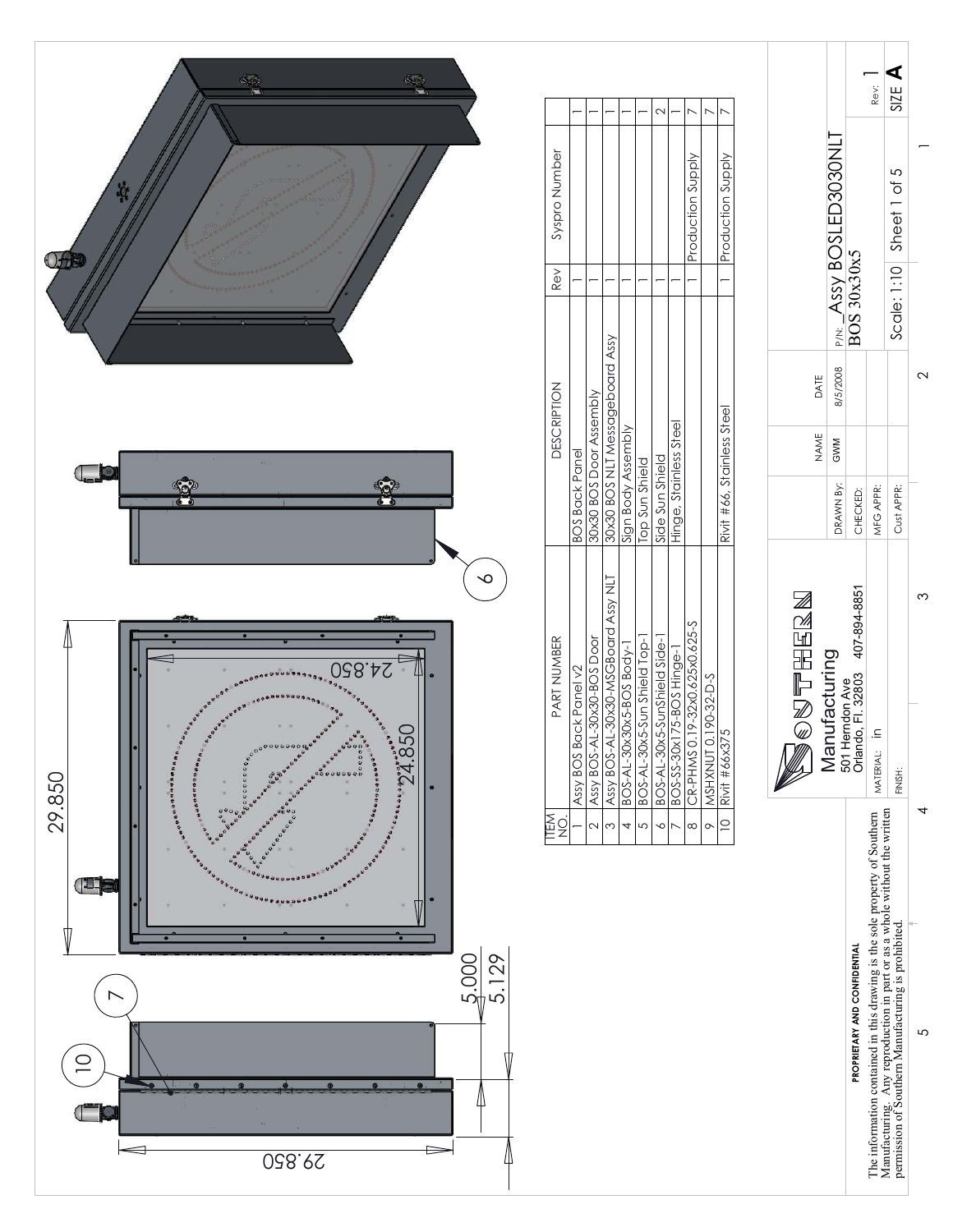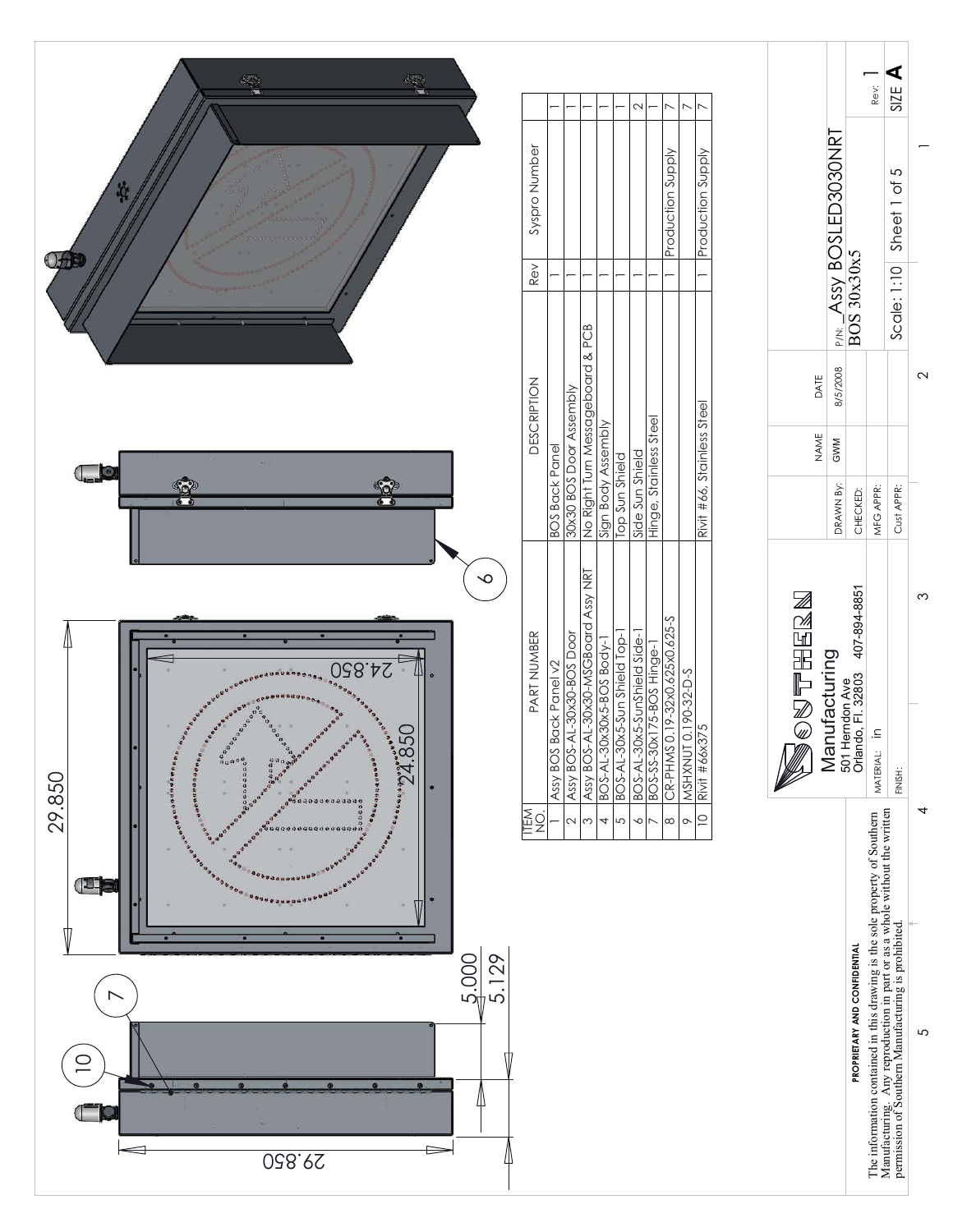

 $2^{1}$  3 3 3  $3^{1}$  4 4 5  $2^{1}$  5  $2^{1}$  5  $2^{1}$  5  $2^{1}$  5  $2^{1}$  5  $2^{1}$  5  $2^{1}$  5  $2^{1}$  5  $2^{1}$  5  $2^{1}$  5  $2^{1}$  5  $2^{1}$  5  $2^{1}$  5  $2^{1}$  5  $2^{1}$  5  $2^{1}$  5  $2^{1}$  5  $2^{1}$  5  $2^{1}$  5  $2^{1}$  5  $2^{1}$  5  $2^{1}$ 

4

 $\overline{a}$ 

 $\mathbf{\Omega}$ 

 $\infty$ 

 $\overline{5}$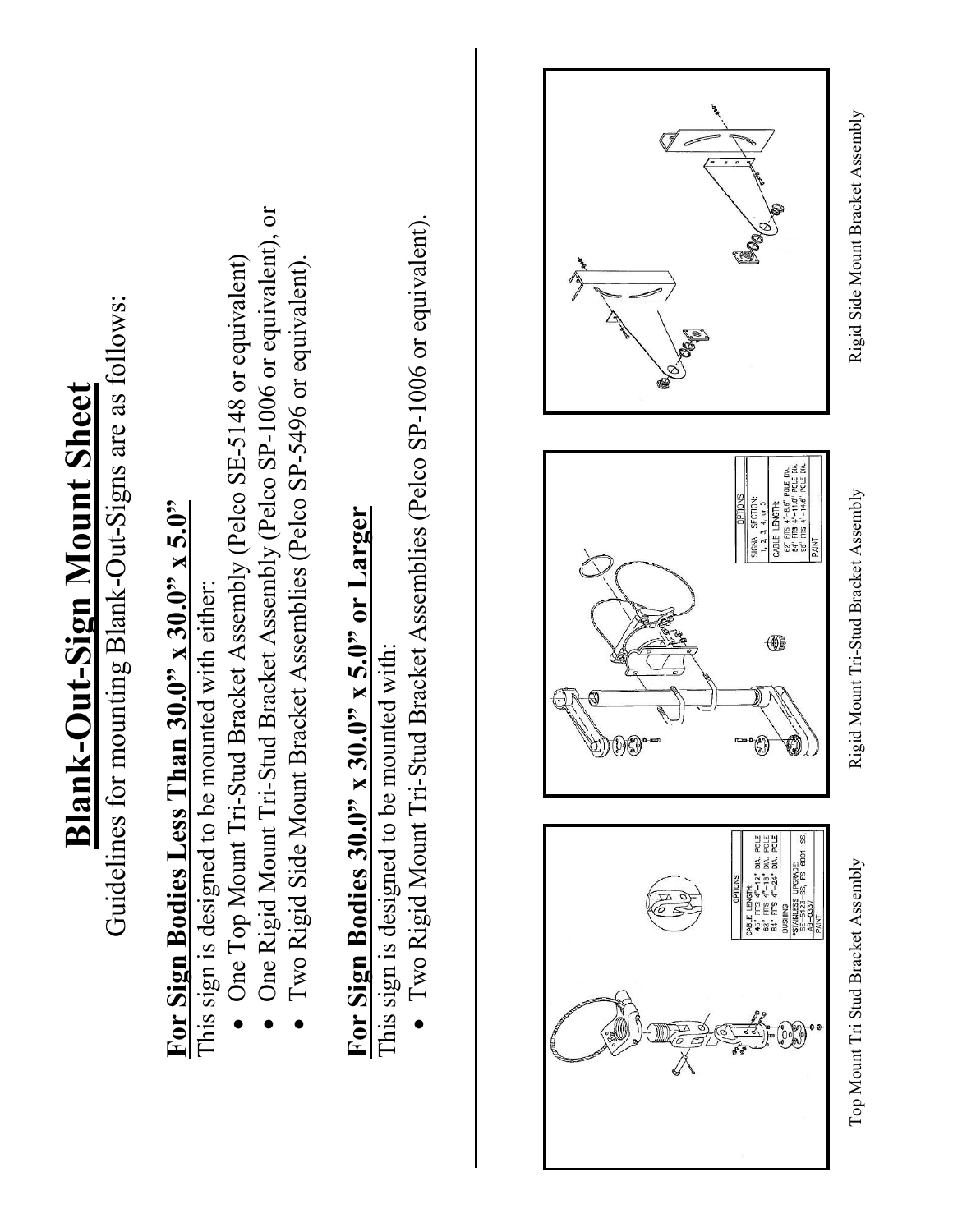## **Blank-Out-Sign Mount Sheet Blank-Out-Sign Mount Sheet**

Guidelines for mounting Blank-Out-Signs are as follows: Guidelines for mounting Blank-Out-Signs are as follows:

# **For Sign Bodies Less Than 30.0" x 30.0" x 5.0"**  For Sign Bodies Less Than  $30.0" \times 30.0" \times 5.0"$

This sign is designed to be mounted with either: This sign is designed to be mounted with either:

 $\bullet$ 

- One Top Mount Tri-Stud Bracket Assembly (Pelco SE-5148 or equivalent) One Top Mount Tri-Stud Bracket Assembly (Pelco SE-5148 or equivalent)
- One Rigid Mount Tri-Stud Bracket Assembly (Pelco SP-1006 or equivalent), or One Rigid Mount Tri-Stud Bracket Assembly (Pelco SP-1006 or equivalent), or  $\bullet$ 
	- Two Rigid Side Mount Bracket Assemblies (Pelco SP-5496 or equivalent). Two Rigid Side Mount Bracket Assemblies (Pelco SP-5496 or equivalent).  $\bullet$

# For Sign Bodies  $30.0$ " x  $30.0$ " x  $5.0$ " or Larger **For Sign Bodies 30.0" x 30.0" x 5.0" or Larger**

This sign is designed to be mounted with: This sign is designed to be mounted with:

 Two Rigid Mount Tri-Stud Bracket Assemblies (Pelco SP-1006 or equivalent). Two Rigid Mount Tri-Stud Bracket Assemblies (Pelco SP-1006 or equivalent).  $\bullet$